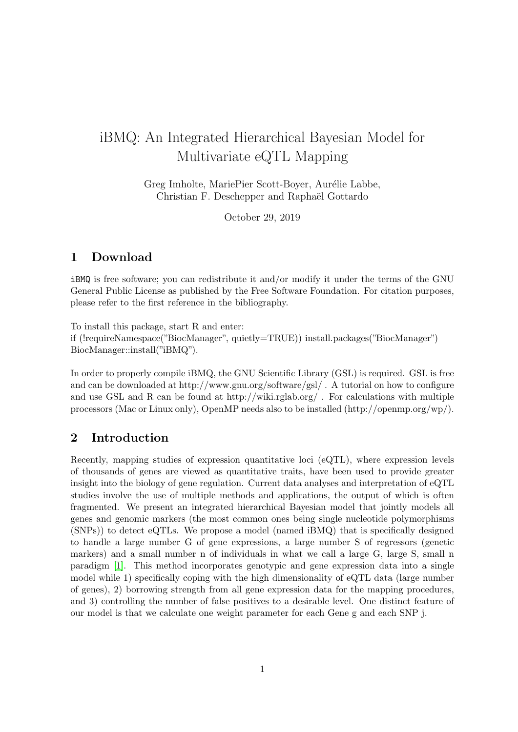# iBMQ: An Integrated Hierarchical Bayesian Model for Multivariate eQTL Mapping

Greg Imholte, MariePier Scott-Boyer, Aurélie Labbe, Christian F. Deschepper and Raphaël Gottardo

October 29, 2019

#### 1 Download

iBMQ is free software; you can redistribute it and/or modify it under the terms of the GNU General Public License as published by the Free Software Foundation. For citation purposes, please refer to the first reference in the bibliography.

To install this package, start R and enter:

if (!requireNamespace("BiocManager", quietly=TRUE)) install.packages("BiocManager") BiocManager::install("iBMQ").

In order to properly compile iBMQ, the GNU Scientific Library (GSL) is required. GSL is free and can be downloaded at http://www.gnu.org/software/gsl/ . A tutorial on how to configure and use GSL and R can be found at http://wiki.rglab.org/. For calculations with multiple processors (Mac or Linux only), OpenMP needs also to be installed (http://openmp.org/wp/).

#### 2 Introduction

Recently, mapping studies of expression quantitative loci (eQTL), where expression levels of thousands of genes are viewed as quantitative traits, have been used to provide greater insight into the biology of gene regulation. Current data analyses and interpretation of eQTL studies involve the use of multiple methods and applications, the output of which is often fragmented. We present an integrated hierarchical Bayesian model that jointly models all genes and genomic markers (the most common ones being single nucleotide polymorphisms (SNPs)) to detect eQTLs. We propose a model (named iBMQ) that is specifically designed to handle a large number G of gene expressions, a large number S of regressors (genetic markers) and a small number n of individuals in what we call a large G, large S, small n paradigm [\[1\]](#page-6-0). This method incorporates genotypic and gene expression data into a single model while 1) specifically coping with the high dimensionality of eQTL data (large number of genes), 2) borrowing strength from all gene expression data for the mapping procedures, and 3) controlling the number of false positives to a desirable level. One distinct feature of our model is that we calculate one weight parameter for each Gene g and each SNP j.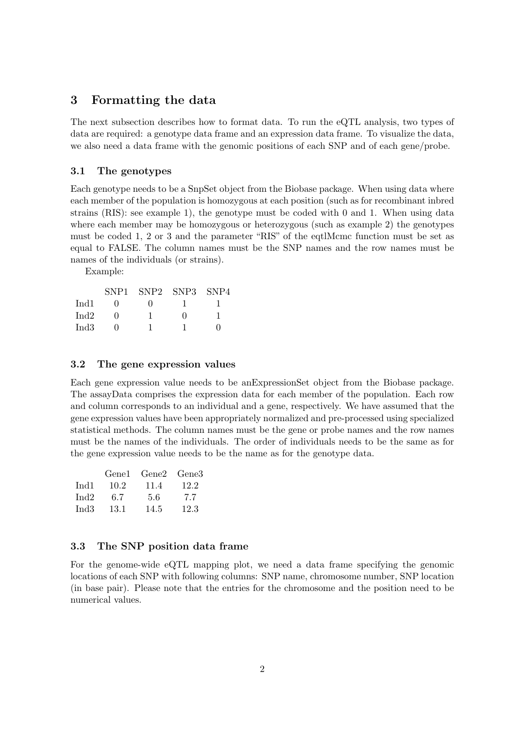### 3 Formatting the data

The next subsection describes how to format data. To run the eQTL analysis, two types of data are required: a genotype data frame and an expression data frame. To visualize the data, we also need a data frame with the genomic positions of each SNP and of each gene/probe.

#### 3.1 The genotypes

Each genotype needs to be a SnpSet object from the Biobase package. When using data where each member of the population is homozygous at each position (such as for recombinant inbred strains (RIS): see example 1), the genotype must be coded with 0 and 1. When using data where each member may be homozygous or heterozygous (such as example 2) the genotypes must be coded 1, 2 or 3 and the parameter "RIS" of the eqtlMcmc function must be set as equal to FALSE. The column names must be the SNP names and the row names must be names of the individuals (or strains).

Example:

|      | SNP <sub>1</sub> | SNP2 SNP3 SNP4 |   |  |
|------|------------------|----------------|---|--|
| Ind1 | $\mathbf{I}$     |                |   |  |
| Ind2 |                  |                | 0 |  |
| Ind3 |                  |                |   |  |

#### 3.2 The gene expression values

Each gene expression value needs to be anExpressionSet object from the Biobase package. The assayData comprises the expression data for each member of the population. Each row and column corresponds to an individual and a gene, respectively. We have assumed that the gene expression values have been appropriately normalized and pre-processed using specialized statistical methods. The column names must be the gene or probe names and the row names must be the names of the individuals. The order of individuals needs to be the same as for the gene expression value needs to be the name as for the genotype data.

|      |      | Gene1 Gene2 Gene3 |      |
|------|------|-------------------|------|
| Ind1 | 10.2 | 11.4              | 12.2 |
| Ind2 | 6.7  | 5.6               | 7.7  |
| Ind3 | 13.1 | 14.5              | 12.3 |

#### 3.3 The SNP position data frame

For the genome-wide eQTL mapping plot, we need a data frame specifying the genomic locations of each SNP with following columns: SNP name, chromosome number, SNP location (in base pair). Please note that the entries for the chromosome and the position need to be numerical values.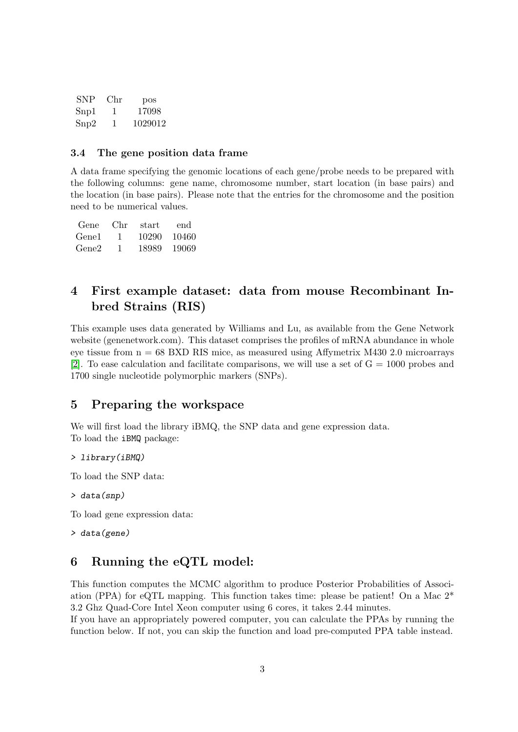| <b>SNP</b>      | Chr | pos     |
|-----------------|-----|---------|
| Snp1            | 1   | 17098   |
| $\mathrm{Snp2}$ | 1   | 1029012 |

#### 3.4 The gene position data frame

A data frame specifying the genomic locations of each gene/probe needs to be prepared with the following columns: gene name, chromosome number, start location (in base pairs) and the location (in base pairs). Please note that the entries for the chromosome and the position need to be numerical values.

| Gene              | Chr | start | end.   |
|-------------------|-----|-------|--------|
| Gene <sub>1</sub> | Т.  | 10290 | 10460  |
| Gene <sub>2</sub> |     | 18989 | -19069 |

## 4 First example dataset: data from mouse Recombinant Inbred Strains (RIS)

This example uses data generated by Williams and Lu, as available from the Gene Network website (genenetwork.com). This dataset comprises the profiles of mRNA abundance in whole eye tissue from  $n = 68$  BXD RIS mice, as measured using Affymetrix M430 2.0 microarrays [\[2\]](#page-6-1). To ease calculation and facilitate comparisons, we will use a set of  $G = 1000$  probes and 1700 single nucleotide polymorphic markers (SNPs).

### 5 Preparing the workspace

We will first load the library iBMQ, the SNP data and gene expression data. To load the iBMQ package:

> library(iBMQ)

To load the SNP data:

```
> data(snp)
```
To load gene expression data:

> data(gene)

### 6 Running the eQTL model:

This function computes the MCMC algorithm to produce Posterior Probabilities of Association (PPA) for eQTL mapping. This function takes time: please be patient! On a Mac 2\* 3.2 Ghz Quad-Core Intel Xeon computer using 6 cores, it takes 2.44 minutes.

If you have an appropriately powered computer, you can calculate the PPAs by running the function below. If not, you can skip the function and load pre-computed PPA table instead.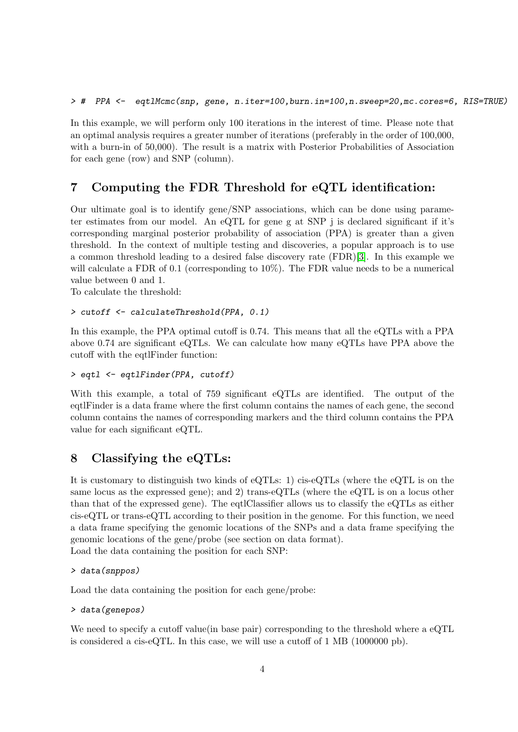In this example, we will perform only 100 iterations in the interest of time. Please note that an optimal analysis requires a greater number of iterations (preferably in the order of 100,000, with a burn-in of 50,000). The result is a matrix with Posterior Probabilities of Association for each gene (row) and SNP (column).

### 7 Computing the FDR Threshold for eQTL identification:

Our ultimate goal is to identify gene/SNP associations, which can be done using parameter estimates from our model. An eQTL for gene g at SNP j is declared significant if it's corresponding marginal posterior probability of association (PPA) is greater than a given threshold. In the context of multiple testing and discoveries, a popular approach is to use a common threshold leading to a desired false discovery rate (FDR)[\[3\]](#page-7-0). In this example we will calculate a FDR of 0.1 (corresponding to  $10\%$ ). The FDR value needs to be a numerical value between 0 and 1.

To calculate the threshold:

```
> cutoff <- calculateThreshold(PPA, 0.1)
```
In this example, the PPA optimal cutoff is 0.74. This means that all the eQTLs with a PPA above 0.74 are significant eQTLs. We can calculate how many eQTLs have PPA above the cutoff with the eqtlFinder function:

```
> eqtl <- eqtlFinder(PPA, cutoff)
```
With this example, a total of 759 significant eQTLs are identified. The output of the eqtlFinder is a data frame where the first column contains the names of each gene, the second column contains the names of corresponding markers and the third column contains the PPA value for each significant eQTL.

### 8 Classifying the eQTLs:

It is customary to distinguish two kinds of eQTLs: 1) cis-eQTLs (where the eQTL is on the same locus as the expressed gene); and 2) trans-eQTLs (where the eQTL is on a locus other than that of the expressed gene). The eqtlClassifier allows us to classify the eQTLs as either cis-eQTL or trans-eQTL according to their position in the genome. For this function, we need a data frame specifying the genomic locations of the SNPs and a data frame specifying the genomic locations of the gene/probe (see section on data format).

Load the data containing the position for each SNP:

```
> data(snppos)
```
Load the data containing the position for each gene/probe:

```
> data(genepos)
```
We need to specify a cutoff value(in base pair) corresponding to the threshold where a eQTL is considered a cis-eQTL. In this case, we will use a cutoff of 1 MB (1000000 pb).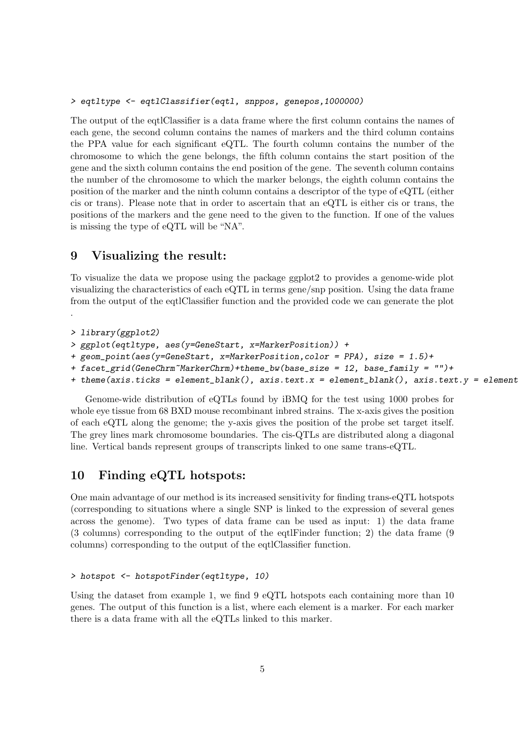The output of the eqtlClassifier is a data frame where the first column contains the names of each gene, the second column contains the names of markers and the third column contains the PPA value for each significant eQTL. The fourth column contains the number of the chromosome to which the gene belongs, the fifth column contains the start position of the gene and the sixth column contains the end position of the gene. The seventh column contains the number of the chromosome to which the marker belongs, the eighth column contains the position of the marker and the ninth column contains a descriptor of the type of eQTL (either cis or trans). Please note that in order to ascertain that an eQTL is either cis or trans, the positions of the markers and the gene need to the given to the function. If one of the values is missing the type of eQTL will be "NA".

### 9 Visualizing the result:

To visualize the data we propose using the package ggplot2 to provides a genome-wide plot visualizing the characteristics of each eQTL in terms gene/snp position. Using the data frame from the output of the eqtlClassifier function and the provided code we can generate the plot .

```
> library(ggplot2)
```

```
> ggplot(eqtltype, aes(y=GeneStart, x=MarkerPosition)) +
```

```
+ geom_point(aes(y=GeneStart, x=MarkerPosition,color = PPA), size = 1.5)+
```

```
+ facet_grid(GeneChrm~MarkerChrm)+theme_bw(base_size = 12, base_family = "")+
```

```
+ theme(axis.ticks = element_blank(), axis.text.x = element_blank(), axis.text.y = element
```
Genome-wide distribution of eQTLs found by iBMQ for the test using 1000 probes for whole eye tissue from 68 BXD mouse recombinant inbred strains. The x-axis gives the position of each eQTL along the genome; the y-axis gives the position of the probe set target itself. The grey lines mark chromosome boundaries. The cis-QTLs are distributed along a diagonal line. Vertical bands represent groups of transcripts linked to one same trans-eQTL.

### 10 Finding eQTL hotspots:

One main advantage of our method is its increased sensitivity for finding trans-eQTL hotspots (corresponding to situations where a single SNP is linked to the expression of several genes across the genome). Two types of data frame can be used as input: 1) the data frame (3 columns) corresponding to the output of the eqtlFinder function; 2) the data frame (9 columns) corresponding to the output of the eqtlClassifier function.

#### > hotspot <- hotspotFinder(eqtltype, 10)

Using the dataset from example 1, we find 9 eQTL hotspots each containing more than 10 genes. The output of this function is a list, where each element is a marker. For each marker there is a data frame with all the eQTLs linked to this marker.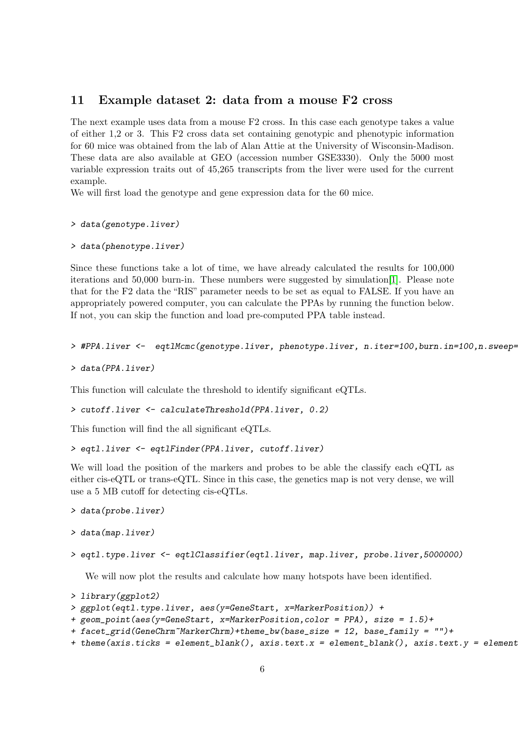#### 11 Example dataset 2: data from a mouse F2 cross

The next example uses data from a mouse F2 cross. In this case each genotype takes a value of either 1,2 or 3. This F2 cross data set containing genotypic and phenotypic information for 60 mice was obtained from the lab of Alan Attie at the University of Wisconsin-Madison. These data are also available at GEO (accession number GSE3330). Only the 5000 most variable expression traits out of 45,265 transcripts from the liver were used for the current example.

We will first load the genotype and gene expression data for the 60 mice.

> data(genotype.liver)

```
> data(phenotype.liver)
```
Since these functions take a lot of time, we have already calculated the results for 100,000 iterations and 50,000 burn-in. These numbers were suggested by simulation[\[1\]](#page-6-0). Please note that for the F2 data the "RIS" parameter needs to be set as equal to FALSE. If you have an appropriately powered computer, you can calculate the PPAs by running the function below. If not, you can skip the function and load pre-computed PPA table instead.

```
> #PPA.liver <- eqtlMcmc(genotype.liver, phenotype.liver, n.iter=100,burn.in=100,n.sweep=
```

```
> data(PPA.liver)
```
This function will calculate the threshold to identify significant eQTLs.

```
> cutoff.liver <- calculateThreshold(PPA.liver, 0.2)
```
This function will find the all significant eQTLs.

```
> eqtl.liver <- eqtlFinder(PPA.liver, cutoff.liver)
```
We will load the position of the markers and probes to be able the classify each eQTL as either cis-eQTL or trans-eQTL. Since in this case, the genetics map is not very dense, we will use a 5 MB cutoff for detecting cis-eQTLs.

```
> data(probe.liver)
```

```
> data(map.liver)
```

```
> eqtl.type.liver <- eqtlClassifier(eqtl.liver, map.liver, probe.liver,5000000)
```
We will now plot the results and calculate how many hotspots have been identified.

```
> library(ggplot2)
```

```
> ggplot(eqtl.type.liver, aes(y=GeneStart, x=MarkerPosition)) +
```

```
+ geom_point(aes(y=GeneStart, x=MarkerPosition,color = PPA), size = 1.5)+
```

```
+ facet_grid(GeneChrm~MarkerChrm)+theme_bw(base_size = 12, base_family = "")+
```

```
+ theme(axis.ticks = element_blank(), axis.text.x = element_blank(), axis.text.y = element
```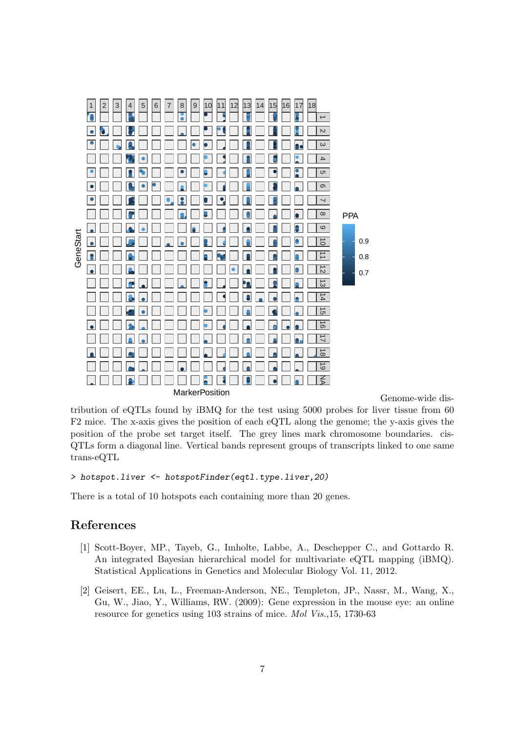

Genome-wide dis-

tribution of eQTLs found by iBMQ for the test using 5000 probes for liver tissue from 60 F2 mice. The x-axis gives the position of each eQTL along the genome; the y-axis gives the position of the probe set target itself. The grey lines mark chromosome boundaries. cis-QTLs form a diagonal line. Vertical bands represent groups of transcripts linked to one same trans-eQTL

#### > hotspot.liver <- hotspotFinder(eqtl.type.liver,20)

There is a total of 10 hotspots each containing more than 20 genes.

#### References

- <span id="page-6-0"></span>[1] Scott-Boyer, MP., Tayeb, G., Imholte, Labbe, A., Deschepper C., and Gottardo R. An integrated Bayesian hierarchical model for multivariate eQTL mapping (iBMQ). Statistical Applications in Genetics and Molecular Biology Vol. 11, 2012.
- <span id="page-6-1"></span>[2] Geisert, EE., Lu, L., Freeman-Anderson, NE., Templeton, JP., Nassr, M., Wang, X., Gu, W., Jiao, Y., Williams, RW. (2009): Gene expression in the mouse eye: an online resource for genetics using 103 strains of mice. Mol Vis.,15, 1730-63